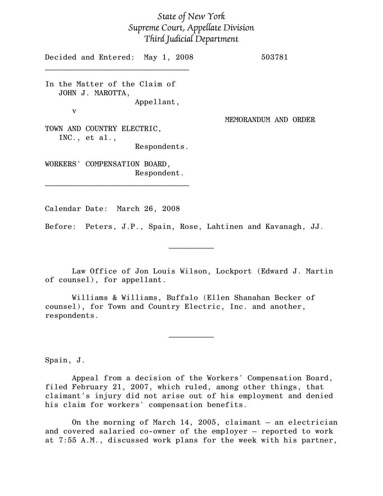## State of New York Supreme Court, Appellate Division Third Judicial Department

Decided and Entered: May 1, 2008 503781  $\mathcal{L}=\{1,2,3,4,5\}$ In the Matter of the Claim of JOHN J. MAROTTA, Appellant, v MEMORANDUM AND ORDER TOWN AND COUNTRY ELECTRIC, INC., et al., Respondents. WORKERS' COMPENSATION BOARD, Respondent.  $\mathcal{L}=\{1,2,3,4,5\}$ 

Calendar Date: March 26, 2008

Before: Peters, J.P., Spain, Rose, Lahtinen and Kavanagh, JJ.

Law Office of Jon Louis Wilson, Lockport (Edward J. Martin of counsel), for appellant.

 $\frac{1}{2}$ 

Williams & Williams, Buffalo (Ellen Shanahan Becker of counsel), for Town and Country Electric, Inc. and another, respondents.

Spain, J.

Appeal from a decision of the Workers' Compensation Board, filed February 21, 2007, which ruled, among other things, that claimant's injury did not arise out of his employment and denied his claim for workers' compensation benefits.

 $\frac{1}{2}$ 

On the morning of March 14, 2005, claimant – an electrician and covered salaried co-owner of the employer – reported to work at 7:55 A.M., discussed work plans for the week with his partner,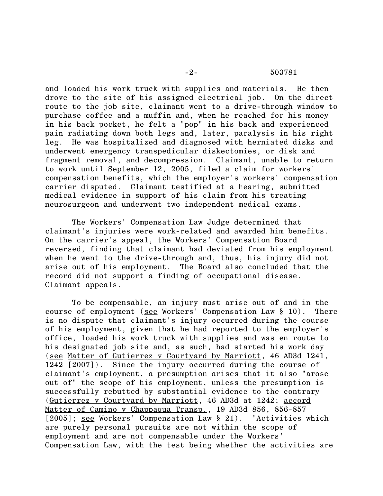## -2- 503781

and loaded his work truck with supplies and materials. He then drove to the site of his assigned electrical job. On the direct route to the job site, claimant went to a drive-through window to purchase coffee and a muffin and, when he reached for his money in his back pocket, he felt a "pop" in his back and experienced pain radiating down both legs and, later, paralysis in his right leg. He was hospitalized and diagnosed with herniated disks and underwent emergency transpedicular diskectomies, or disk and fragment removal, and decompression. Claimant, unable to return to work until September 12, 2005, filed a claim for workers' compensation benefits, which the employer's workers' compensation carrier disputed. Claimant testified at a hearing, submitted medical evidence in support of his claim from his treating neurosurgeon and underwent two independent medical exams.

The Workers' Compensation Law Judge determined that claimant's injuries were work-related and awarded him benefits. On the carrier's appeal, the Workers' Compensation Board reversed, finding that claimant had deviated from his employment when he went to the drive-through and, thus, his injury did not arise out of his employment. The Board also concluded that the record did not support a finding of occupational disease. Claimant appeals.

To be compensable, an injury must arise out of and in the course of employment (see Workers' Compensation Law § 10). There is no dispute that claimant's injury occurred during the course of his employment, given that he had reported to the employer's office, loaded his work truck with supplies and was en route to his designated job site and, as such, had started his work day (see Matter of Gutierrez v Courtyard by Marriott, 46 AD3d 1241, 1242 [2007]). Since the injury occurred during the course of claimant's employment, a presumption arises that it also "arose out of" the scope of his employment, unless the presumption is successfully rebutted by substantial evidence to the contrary (Gutierrez v Courtyard by Marriott, 46 AD3d at 1242; accord Matter of Camino v Chappaqua Transp., 19 AD3d 856, 856-857 [2005]; see Workers' Compensation Law § 21). "Activities which are purely personal pursuits are not within the scope of employment and are not compensable under the Workers' Compensation Law, with the test being whether the activities are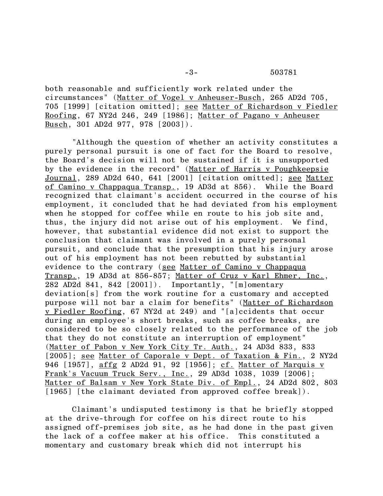both reasonable and sufficiently work related under the circumstances" (Matter of Vogel v Anheuser-Busch, 265 AD2d 705, 705 [1999] [citation omitted]; see Matter of Richardson v Fiedler Roofing, 67 NY2d 246, 249 [1986]; Matter of Pagano v Anheuser Busch, 301 AD2d 977, 978 [2003]).

"Although the question of whether an activity constitutes a purely personal pursuit is one of fact for the Board to resolve, the Board's decision will not be sustained if it is unsupported by the evidence in the record" (Matter of Harris v Poughkeepsie Journal, 289 AD2d 640, 641 [2001] [citation omitted]; see Matter of Camino v Chappaqua Transp., 19 AD3d at 856). While the Board recognized that claimant's accident occurred in the course of his employment, it concluded that he had deviated from his employment when he stopped for coffee while en route to his job site and, thus, the injury did not arise out of his employment. We find, however, that substantial evidence did not exist to support the conclusion that claimant was involved in a purely personal pursuit, and conclude that the presumption that his injury arose out of his employment has not been rebutted by substantial evidence to the contrary (see Matter of Camino v Chappaqua Transp., 19 AD3d at 856-857; Matter of Cruz v Karl Ehmer, Inc., 282 AD2d 841, 842 [2001]). Importantly, "[m]omentary deviation[s] from the work routine for a customary and accepted purpose will not bar a claim for benefits" (Matter of Richardson v Fiedler Roofing, 67 NY2d at 249) and "[a]ccidents that occur during an employee's short breaks, such as coffee breaks, are considered to be so closely related to the performance of the job that they do not constitute an interruption of employment" (Matter of Pabon v New York City Tr. Auth., 24 AD3d 833, 833 [2005]; <u>see Matter of Caporale v Dept. of Taxation & Fin.</u>, 2 NY2d 946 [1957], affg 2 AD2d 91, 92 [1956]; cf. Matter of Marquis v Frank's Vacuum Truck Serv., Inc., 29 AD3d 1038, 1039 [2006]; Matter of Balsam v New York State Div. of Empl., 24 AD2d 802, 803 [1965] [the claimant deviated from approved coffee break]).

Claimant's undisputed testimony is that he briefly stopped at the drive-through for coffee on his direct route to his assigned off-premises job site, as he had done in the past given the lack of a coffee maker at his office. This constituted a momentary and customary break which did not interrupt his